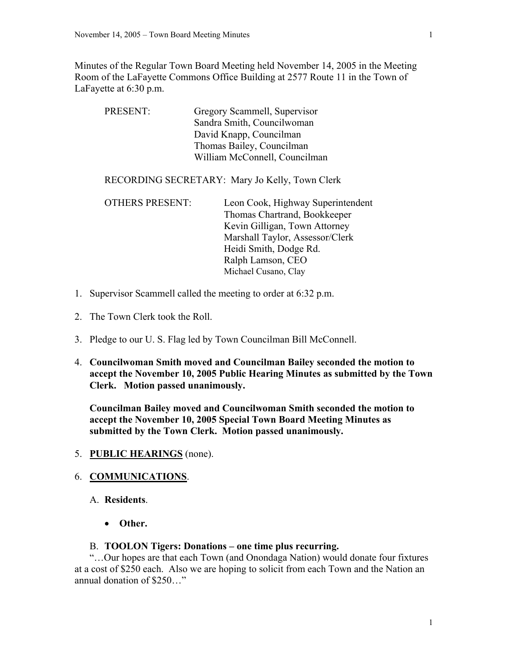Minutes of the Regular Town Board Meeting held November 14, 2005 in the Meeting Room of the LaFayette Commons Office Building at 2577 Route 11 in the Town of LaFayette at 6:30 p.m.

| Gregory Scammell, Supervisor                                                                                                                                                                                                                                                             |  |
|------------------------------------------------------------------------------------------------------------------------------------------------------------------------------------------------------------------------------------------------------------------------------------------|--|
| Sandra Smith, Councilwoman                                                                                                                                                                                                                                                               |  |
| David Knapp, Councilman                                                                                                                                                                                                                                                                  |  |
| Thomas Bailey, Councilman                                                                                                                                                                                                                                                                |  |
| William McConnell, Councilman                                                                                                                                                                                                                                                            |  |
| RECORDING SECRETARY: Mary Jo Kelly, Town Clerk<br><b>OTHERS PRESENT:</b><br>Leon Cook, Highway Superintendent<br>Thomas Chartrand, Bookkeeper<br>Kevin Gilligan, Town Attorney<br>Marshall Taylor, Assessor/Clerk<br>Heidi Smith, Dodge Rd.<br>Ralph Lamson, CEO<br>Michael Cusano, Clay |  |
|                                                                                                                                                                                                                                                                                          |  |

- 1. Supervisor Scammell called the meeting to order at 6:32 p.m.
- 2. The Town Clerk took the Roll.
- 3. Pledge to our U. S. Flag led by Town Councilman Bill McConnell.
- 4. **Councilwoman Smith moved and Councilman Bailey seconded the motion to accept the November 10, 2005 Public Hearing Minutes as submitted by the Town Clerk. Motion passed unanimously.**

**Councilman Bailey moved and Councilwoman Smith seconded the motion to accept the November 10, 2005 Special Town Board Meeting Minutes as submitted by the Town Clerk. Motion passed unanimously.**

5. **PUBLIC HEARINGS** (none).

#### 6. **COMMUNICATIONS**.

- A. **Residents**.
	- **Other.**

#### B. **TOOLON Tigers: Donations – one time plus recurring.**

"…Our hopes are that each Town (and Onondaga Nation) would donate four fixtures at a cost of \$250 each. Also we are hoping to solicit from each Town and the Nation an annual donation of \$250…"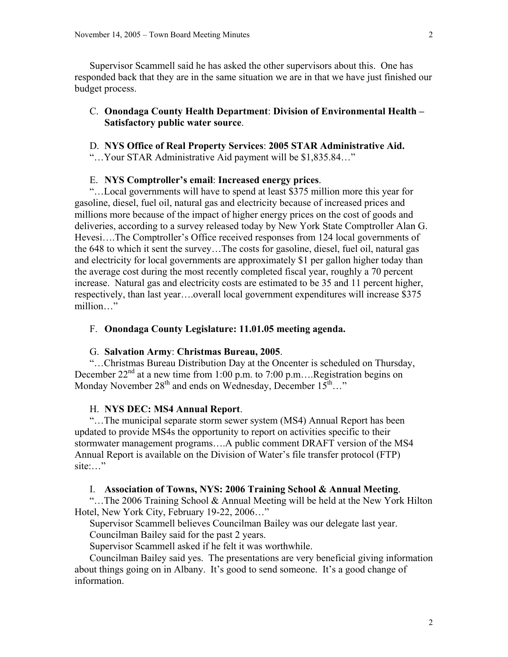Supervisor Scammell said he has asked the other supervisors about this. One has responded back that they are in the same situation we are in that we have just finished our budget process.

# C. **Onondaga County Health Department**: **Division of Environmental Health – Satisfactory public water source**.

# D. **NYS Office of Real Property Services**: **2005 STAR Administrative Aid.**

"…Your STAR Administrative Aid payment will be \$1,835.84…"

#### E. **NYS Comptroller's email**: **Increased energy prices**.

"…Local governments will have to spend at least \$375 million more this year for gasoline, diesel, fuel oil, natural gas and electricity because of increased prices and millions more because of the impact of higher energy prices on the cost of goods and deliveries, according to a survey released today by New York State Comptroller Alan G. Hevesi….The Comptroller's Office received responses from 124 local governments of the 648 to which it sent the survey…The costs for gasoline, diesel, fuel oil, natural gas and electricity for local governments are approximately \$1 per gallon higher today than the average cost during the most recently completed fiscal year, roughly a 70 percent increase. Natural gas and electricity costs are estimated to be 35 and 11 percent higher, respectively, than last year….overall local government expenditures will increase \$375 million…"

# F. **Onondaga County Legislature: 11.01.05 meeting agenda.**

### G. **Salvation Army**: **Christmas Bureau, 2005**.

"…Christmas Bureau Distribution Day at the Oncenter is scheduled on Thursday, December  $22<sup>nd</sup>$  at a new time from 1:00 p.m. to 7:00 p.m... Registration begins on Monday November  $28^{th}$  and ends on Wednesday, December  $15^{th}$ ..."

# H. **NYS DEC: MS4 Annual Report**.

"…The municipal separate storm sewer system (MS4) Annual Report has been updated to provide MS4s the opportunity to report on activities specific to their stormwater management programs….A public comment DRAFT version of the MS4 Annual Report is available on the Division of Water's file transfer protocol (FTP) site:…"

#### I. **Association of Towns, NYS: 2006 Training School & Annual Meeting**.

"…The 2006 Training School & Annual Meeting will be held at the New York Hilton Hotel, New York City, February 19-22, 2006…"

Supervisor Scammell believes Councilman Bailey was our delegate last year.

Councilman Bailey said for the past 2 years.

Supervisor Scammell asked if he felt it was worthwhile.

Councilman Bailey said yes. The presentations are very beneficial giving information about things going on in Albany. It's good to send someone. It's a good change of information.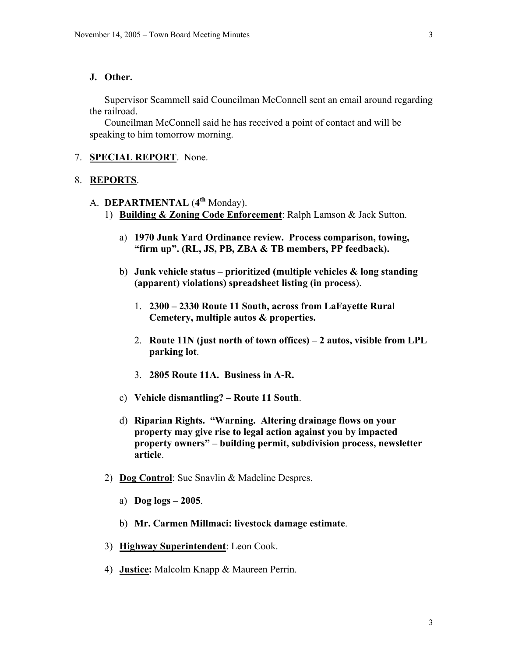#### **J. Other.**

Supervisor Scammell said Councilman McConnell sent an email around regarding the railroad.

Councilman McConnell said he has received a point of contact and will be speaking to him tomorrow morning.

### 7. **SPECIAL REPORT**. None.

# 8. **REPORTS**.

# A. **DEPARTMENTAL** (**4th** Monday).

- 1) **Building & Zoning Code Enforcement**: Ralph Lamson & Jack Sutton.
	- a) **1970 Junk Yard Ordinance review. Process comparison, towing, "firm up". (RL, JS, PB, ZBA & TB members, PP feedback).**
	- b) **Junk vehicle status prioritized (multiple vehicles & long standing (apparent) violations) spreadsheet listing (in process**).
		- 1. **2300 2330 Route 11 South, across from LaFayette Rural Cemetery, multiple autos & properties.**
		- 2. **Route 11N (just north of town offices) 2 autos, visible from LPL parking lot**.
		- 3. **2805 Route 11A. Business in A-R.**
	- c) **Vehicle dismantling? Route 11 South**.
	- d) **Riparian Rights. "Warning. Altering drainage flows on your property may give rise to legal action against you by impacted property owners" – building permit, subdivision process, newsletter article**.
- 2) **Dog Control**: Sue Snavlin & Madeline Despres.
	- a) **Dog logs 2005**.
	- b) **Mr. Carmen Millmaci: livestock damage estimate**.
- 3) **Highway Superintendent**: Leon Cook.
- 4) **Justice:** Malcolm Knapp & Maureen Perrin.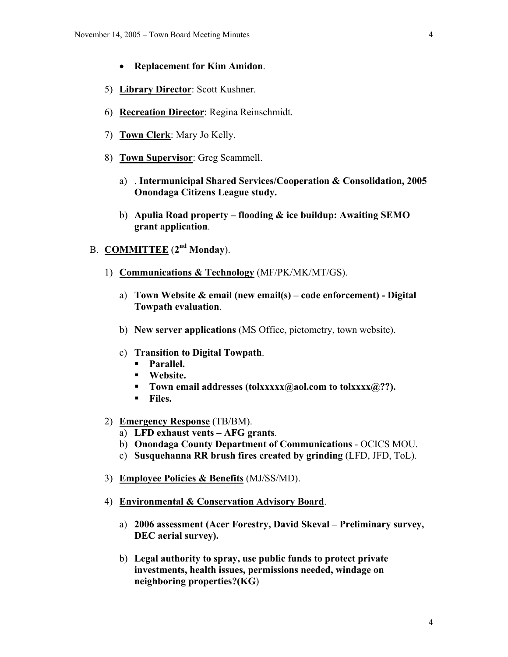- **Replacement for Kim Amidon**.
- 5) **Library Director**: Scott Kushner.
- 6) **Recreation Director**: Regina Reinschmidt.
- 7) **Town Clerk**: Mary Jo Kelly.
- 8) **Town Supervisor**: Greg Scammell.
	- a) . **Intermunicipal Shared Services/Cooperation & Consolidation, 2005 Onondaga Citizens League study.**
	- b) **Apulia Road property flooding & ice buildup: Awaiting SEMO grant application**.
- B. **COMMITTEE** (**2nd Monday**).
	- 1) **Communications & Technology** (MF/PK/MK/MT/GS).
		- a) **Town Website & email (new email(s) code enforcement) Digital Towpath evaluation**.
		- b) **New server applications** (MS Office, pictometry, town website).
		- c) **Transition to Digital Towpath**.
			- **Parallel.**
			- **Website.**
			- **Town email addresses (tolxxxxx@aol.com to tolxxxx@??).**
			- **Files.**
	- 2) **Emergency Response** (TB/BM).
		- a) **LFD exhaust vents AFG grants**.
		- b) **Onondaga County Department of Communications** OCICS MOU.
		- c) **Susquehanna RR brush fires created by grinding** (LFD, JFD, ToL).
	- 3) **Employee Policies & Benefits** (MJ/SS/MD).
	- 4) **Environmental & Conservation Advisory Board**.
		- a) **2006 assessment (Acer Forestry, David Skeval Preliminary survey, DEC aerial survey).**
		- b) **Legal authority to spray, use public funds to protect private investments, health issues, permissions needed, windage on neighboring properties?(KG**)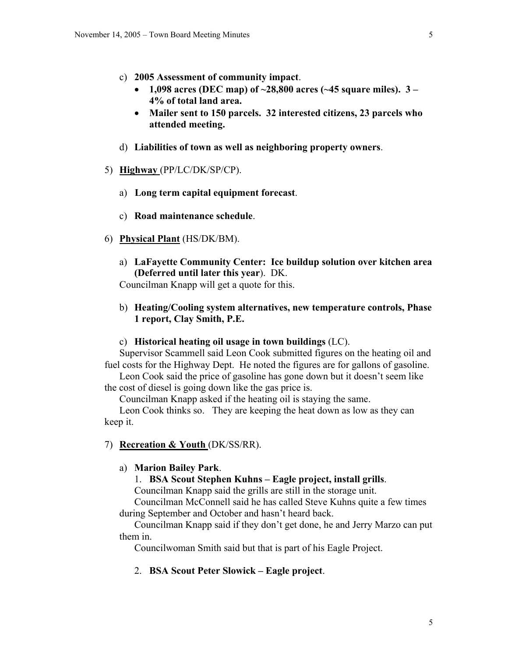- c) **2005 Assessment of community impact**.
	- **1,098 acres (DEC map) of ~28,800 acres (~45 square miles). 3 4% of total land area.**
	- **Mailer sent to 150 parcels. 32 interested citizens, 23 parcels who attended meeting.**
- d) **Liabilities of town as well as neighboring property owners**.
- 5) **Highway** (PP/LC/DK/SP/CP).
	- a) **Long term capital equipment forecast**.
	- c) **Road maintenance schedule**.
- 6) **Physical Plant** (HS/DK/BM).
	- a) **LaFayette Community Center: Ice buildup solution over kitchen area (Deferred until later this year**). DK.

Councilman Knapp will get a quote for this.

b) **Heating/Cooling system alternatives, new temperature controls, Phase 1 report, Clay Smith, P.E.** 

#### c) **Historical heating oil usage in town buildings** (LC).

Supervisor Scammell said Leon Cook submitted figures on the heating oil and fuel costs for the Highway Dept. He noted the figures are for gallons of gasoline.

Leon Cook said the price of gasoline has gone down but it doesn't seem like the cost of diesel is going down like the gas price is.

Councilman Knapp asked if the heating oil is staying the same.

Leon Cook thinks so. They are keeping the heat down as low as they can keep it.

#### 7) **Recreation & Youth** (DK/SS/RR).

# a) **Marion Bailey Park**.

# 1. **BSA Scout Stephen Kuhns – Eagle project, install grills**.

Councilman Knapp said the grills are still in the storage unit.

Councilman McConnell said he has called Steve Kuhns quite a few times during September and October and hasn't heard back.

Councilman Knapp said if they don't get done, he and Jerry Marzo can put them in.

Councilwoman Smith said but that is part of his Eagle Project.

#### 2. **BSA Scout Peter Slowick – Eagle project**.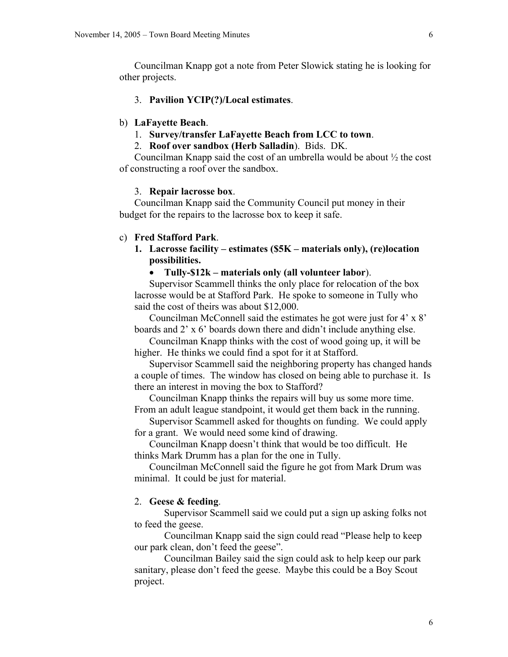Councilman Knapp got a note from Peter Slowick stating he is looking for other projects.

### 3. **Pavilion YCIP(?)/Local estimates**.

### b) **LaFayette Beach**.

### 1. **Survey/transfer LaFayette Beach from LCC to town**.

#### 2. **Roof over sandbox (Herb Salladin**). Bids. DK.

Councilman Knapp said the cost of an umbrella would be about ½ the cost of constructing a roof over the sandbox.

#### 3. **Repair lacrosse box**.

Councilman Knapp said the Community Council put money in their budget for the repairs to the lacrosse box to keep it safe.

#### c) **Fred Stafford Park**.

**1. Lacrosse facility – estimates (\$5K – materials only), (re)location possibilities.** 

# • **Tully-\$12k – materials only (all volunteer labor**).

Supervisor Scammell thinks the only place for relocation of the box lacrosse would be at Stafford Park. He spoke to someone in Tully who said the cost of theirs was about \$12,000.

Councilman McConnell said the estimates he got were just for 4' x 8' boards and 2' x 6' boards down there and didn't include anything else.

Councilman Knapp thinks with the cost of wood going up, it will be higher. He thinks we could find a spot for it at Stafford.

Supervisor Scammell said the neighboring property has changed hands a couple of times. The window has closed on being able to purchase it. Is there an interest in moving the box to Stafford?

Councilman Knapp thinks the repairs will buy us some more time. From an adult league standpoint, it would get them back in the running.

Supervisor Scammell asked for thoughts on funding. We could apply for a grant. We would need some kind of drawing.

Councilman Knapp doesn't think that would be too difficult. He thinks Mark Drumm has a plan for the one in Tully.

Councilman McConnell said the figure he got from Mark Drum was minimal. It could be just for material.

### 2. **Geese & feeding**.

 Supervisor Scammell said we could put a sign up asking folks not to feed the geese.

 Councilman Knapp said the sign could read "Please help to keep our park clean, don't feed the geese".

 Councilman Bailey said the sign could ask to help keep our park sanitary, please don't feed the geese. Maybe this could be a Boy Scout project.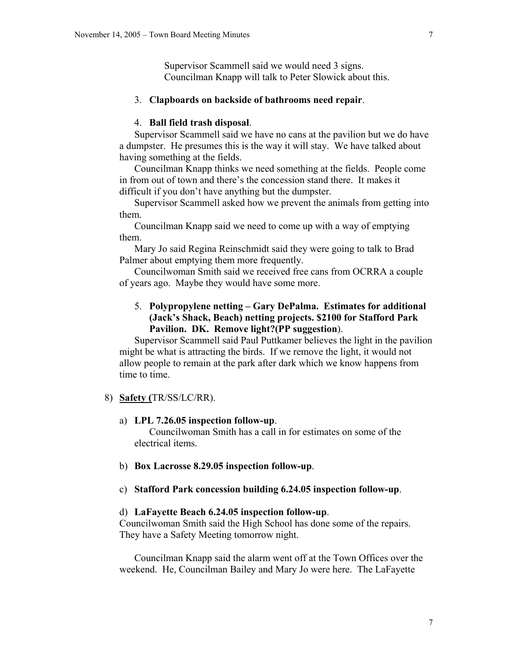Supervisor Scammell said we would need 3 signs. Councilman Knapp will talk to Peter Slowick about this.

### 3. **Clapboards on backside of bathrooms need repair**.

# 4. **Ball field trash disposal**.

Supervisor Scammell said we have no cans at the pavilion but we do have a dumpster. He presumes this is the way it will stay. We have talked about having something at the fields.

Councilman Knapp thinks we need something at the fields. People come in from out of town and there's the concession stand there. It makes it difficult if you don't have anything but the dumpster.

Supervisor Scammell asked how we prevent the animals from getting into them.

Councilman Knapp said we need to come up with a way of emptying them.

Mary Jo said Regina Reinschmidt said they were going to talk to Brad Palmer about emptying them more frequently.

Councilwoman Smith said we received free cans from OCRRA a couple of years ago. Maybe they would have some more.

# 5. **Polypropylene netting – Gary DePalma. Estimates for additional (Jack's Shack, Beach) netting projects. \$2100 for Stafford Park Pavilion. DK. Remove light?(PP suggestion**).

Supervisor Scammell said Paul Puttkamer believes the light in the pavilion might be what is attracting the birds. If we remove the light, it would not allow people to remain at the park after dark which we know happens from time to time.

### 8) **Safety (**TR/SS/LC/RR).

#### a) **LPL 7.26.05 inspection follow-up**.

Councilwoman Smith has a call in for estimates on some of the electrical items.

#### b) **Box Lacrosse 8.29.05 inspection follow-up**.

#### c) **Stafford Park concession building 6.24.05 inspection follow-up**.

#### d) **LaFayette Beach 6.24.05 inspection follow-up**.

Councilwoman Smith said the High School has done some of the repairs. They have a Safety Meeting tomorrow night.

Councilman Knapp said the alarm went off at the Town Offices over the weekend. He, Councilman Bailey and Mary Jo were here. The LaFayette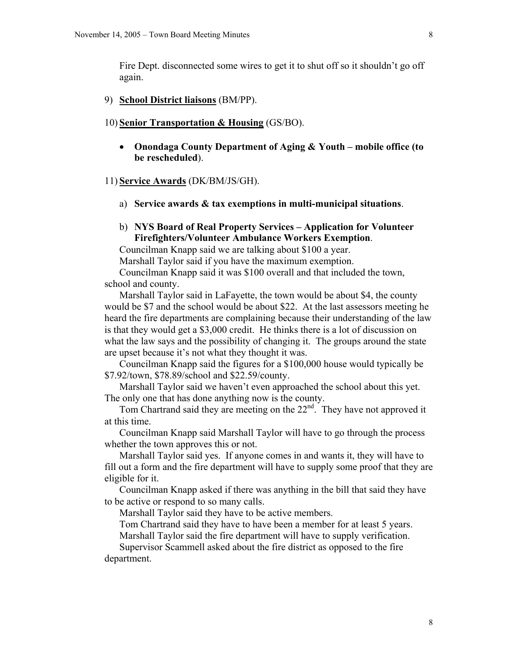Fire Dept. disconnected some wires to get it to shut off so it shouldn't go off again.

9) **School District liaisons** (BM/PP).

#### 10) **Senior Transportation & Housing** (GS/BO).

• **Onondaga County Department of Aging & Youth – mobile office (to be rescheduled**).

#### 11) **Service Awards** (DK/BM/JS/GH).

- a) **Service awards & tax exemptions in multi-municipal situations**.
- b) **NYS Board of Real Property Services Application for Volunteer Firefighters/Volunteer Ambulance Workers Exemption**.

Councilman Knapp said we are talking about \$100 a year.

Marshall Taylor said if you have the maximum exemption.

Councilman Knapp said it was \$100 overall and that included the town, school and county.

Marshall Taylor said in LaFayette, the town would be about \$4, the county would be \$7 and the school would be about \$22. At the last assessors meeting he heard the fire departments are complaining because their understanding of the law is that they would get a \$3,000 credit. He thinks there is a lot of discussion on what the law says and the possibility of changing it. The groups around the state are upset because it's not what they thought it was.

Councilman Knapp said the figures for a \$100,000 house would typically be \$7.92/town, \$78.89/school and \$22.59/county.

Marshall Taylor said we haven't even approached the school about this yet. The only one that has done anything now is the county.

Tom Chartrand said they are meeting on the  $22<sup>nd</sup>$ . They have not approved it at this time.

Councilman Knapp said Marshall Taylor will have to go through the process whether the town approves this or not.

Marshall Taylor said yes. If anyone comes in and wants it, they will have to fill out a form and the fire department will have to supply some proof that they are eligible for it.

Councilman Knapp asked if there was anything in the bill that said they have to be active or respond to so many calls.

Marshall Taylor said they have to be active members.

Tom Chartrand said they have to have been a member for at least 5 years.

Marshall Taylor said the fire department will have to supply verification.

Supervisor Scammell asked about the fire district as opposed to the fire department.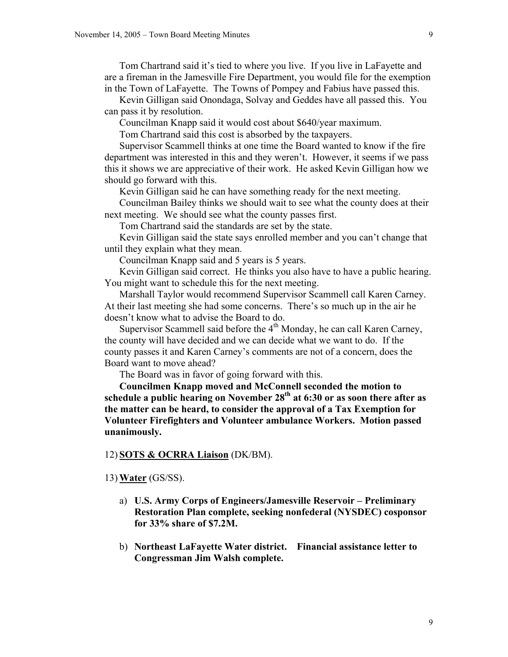Tom Chartrand said it's tied to where you live. If you live in LaFayette and are a fireman in the Jamesville Fire Department, you would file for the exemption in the Town of LaFayette. The Towns of Pompey and Fabius have passed this.

Kevin Gilligan said Onondaga, Solvay and Geddes have all passed this. You can pass it by resolution.

Councilman Knapp said it would cost about \$640/year maximum.

Tom Chartrand said this cost is absorbed by the taxpayers.

Supervisor Scammell thinks at one time the Board wanted to know if the fire department was interested in this and they weren't. However, it seems if we pass this it shows we are appreciative of their work. He asked Kevin Gilligan how we should go forward with this.

Kevin Gilligan said he can have something ready for the next meeting.

Councilman Bailey thinks we should wait to see what the county does at their next meeting. We should see what the county passes first.

Tom Chartrand said the standards are set by the state.

Kevin Gilligan said the state says enrolled member and you can't change that until they explain what they mean.

Councilman Knapp said and 5 years is 5 years.

Kevin Gilligan said correct. He thinks you also have to have a public hearing. You might want to schedule this for the next meeting.

Marshall Taylor would recommend Supervisor Scammell call Karen Carney. At their last meeting she had some concerns. There's so much up in the air he doesn't know what to advise the Board to do.

Supervisor Scammell said before the  $4<sup>th</sup>$  Monday, he can call Karen Carney, the county will have decided and we can decide what we want to do. If the county passes it and Karen Carney's comments are not of a concern, does the Board want to move ahead?

The Board was in favor of going forward with this.

**Councilmen Knapp moved and McConnell seconded the motion to**  schedule a public hearing on November 28<sup>th</sup> at 6:30 or as soon there after as **the matter can be heard, to consider the approval of a Tax Exemption for Volunteer Firefighters and Volunteer ambulance Workers. Motion passed unanimously.** 

### 12) **SOTS & OCRRA Liaison** (DK/BM).

#### 13) **Water** (GS/SS).

- a) **U.S. Army Corps of Engineers/Jamesville Reservoir Preliminary Restoration Plan complete, seeking nonfederal (NYSDEC) cosponsor for 33% share of \$7.2M.**
- b) **Northeast LaFayette Water district. Financial assistance letter to Congressman Jim Walsh complete.**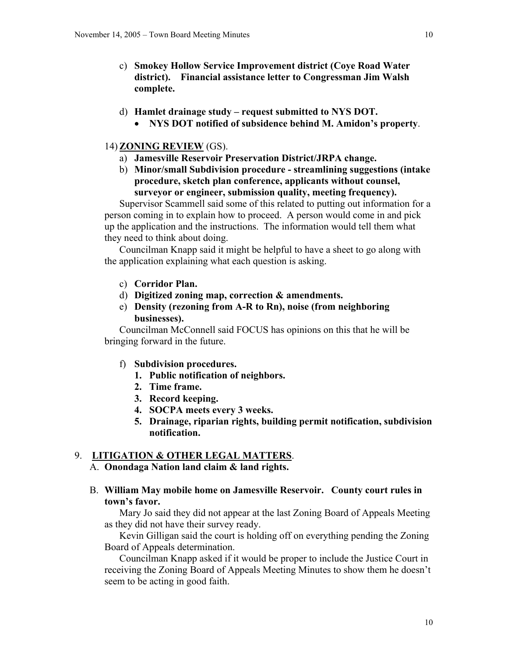- c) **Smokey Hollow Service Improvement district (Coye Road Water district). Financial assistance letter to Congressman Jim Walsh complete.**
- d) **Hamlet drainage study request submitted to NYS DOT.** 
	- **NYS DOT notified of subsidence behind M. Amidon's property**.

# 14) **ZONING REVIEW** (GS).

- a) **Jamesville Reservoir Preservation District/JRPA change.**
- b) **Minor/small Subdivision procedure streamlining suggestions (intake procedure, sketch plan conference, applicants without counsel, surveyor or engineer, submission quality, meeting frequency).**

Supervisor Scammell said some of this related to putting out information for a person coming in to explain how to proceed. A person would come in and pick up the application and the instructions. The information would tell them what they need to think about doing.

Councilman Knapp said it might be helpful to have a sheet to go along with the application explaining what each question is asking.

- c) **Corridor Plan.**
- d) **Digitized zoning map, correction & amendments.**
- e) **Density (rezoning from A-R to Rn), noise (from neighboring businesses).**

Councilman McConnell said FOCUS has opinions on this that he will be bringing forward in the future.

- f) **Subdivision procedures.** 
	- **1. Public notification of neighbors.**
	- **2. Time frame.**
	- **3. Record keeping.**
	- **4. SOCPA meets every 3 weeks.**
	- **5. Drainage, riparian rights, building permit notification, subdivision notification.**

# 9. **LITIGATION & OTHER LEGAL MATTERS**.

# A. **Onondaga Nation land claim & land rights.**

B. **William May mobile home on Jamesville Reservoir. County court rules in town's favor.** 

Mary Jo said they did not appear at the last Zoning Board of Appeals Meeting as they did not have their survey ready.

Kevin Gilligan said the court is holding off on everything pending the Zoning Board of Appeals determination.

Councilman Knapp asked if it would be proper to include the Justice Court in receiving the Zoning Board of Appeals Meeting Minutes to show them he doesn't seem to be acting in good faith.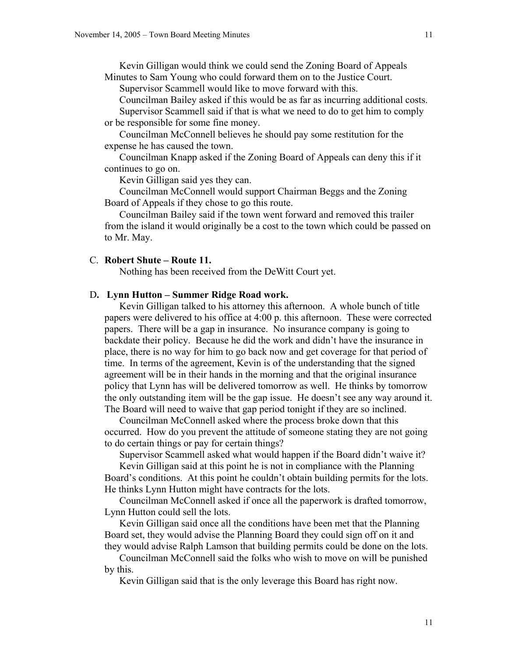Kevin Gilligan would think we could send the Zoning Board of Appeals Minutes to Sam Young who could forward them on to the Justice Court.

Supervisor Scammell would like to move forward with this.

Councilman Bailey asked if this would be as far as incurring additional costs.

Supervisor Scammell said if that is what we need to do to get him to comply or be responsible for some fine money.

Councilman McConnell believes he should pay some restitution for the expense he has caused the town.

Councilman Knapp asked if the Zoning Board of Appeals can deny this if it continues to go on.

Kevin Gilligan said yes they can.

Councilman McConnell would support Chairman Beggs and the Zoning Board of Appeals if they chose to go this route.

Councilman Bailey said if the town went forward and removed this trailer from the island it would originally be a cost to the town which could be passed on to Mr. May.

### C. **Robert Shute – Route 11.**

Nothing has been received from the DeWitt Court yet.

### D**. Lynn Hutton – Summer Ridge Road work.**

Kevin Gilligan talked to his attorney this afternoon. A whole bunch of title papers were delivered to his office at 4:00 p. this afternoon. These were corrected papers. There will be a gap in insurance. No insurance company is going to backdate their policy. Because he did the work and didn't have the insurance in place, there is no way for him to go back now and get coverage for that period of time. In terms of the agreement, Kevin is of the understanding that the signed agreement will be in their hands in the morning and that the original insurance policy that Lynn has will be delivered tomorrow as well. He thinks by tomorrow the only outstanding item will be the gap issue. He doesn't see any way around it. The Board will need to waive that gap period tonight if they are so inclined.

Councilman McConnell asked where the process broke down that this occurred. How do you prevent the attitude of someone stating they are not going to do certain things or pay for certain things?

Supervisor Scammell asked what would happen if the Board didn't waive it?

Kevin Gilligan said at this point he is not in compliance with the Planning Board's conditions. At this point he couldn't obtain building permits for the lots. He thinks Lynn Hutton might have contracts for the lots.

Councilman McConnell asked if once all the paperwork is drafted tomorrow, Lynn Hutton could sell the lots.

Kevin Gilligan said once all the conditions have been met that the Planning Board set, they would advise the Planning Board they could sign off on it and they would advise Ralph Lamson that building permits could be done on the lots.

Councilman McConnell said the folks who wish to move on will be punished by this.

Kevin Gilligan said that is the only leverage this Board has right now.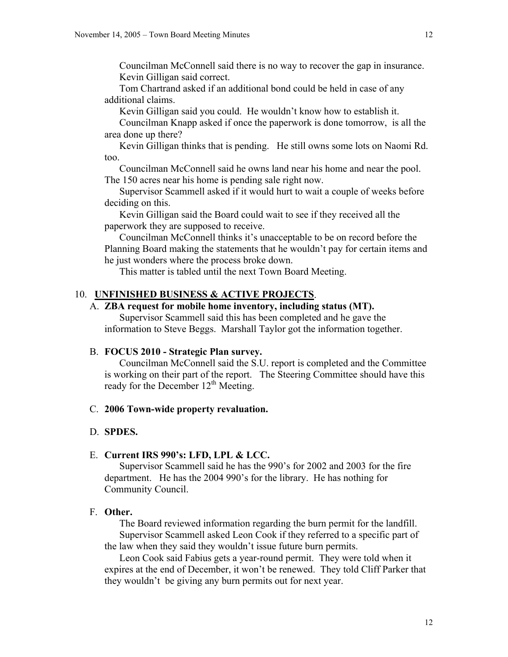Councilman McConnell said there is no way to recover the gap in insurance. Kevin Gilligan said correct.

Tom Chartrand asked if an additional bond could be held in case of any additional claims.

Kevin Gilligan said you could. He wouldn't know how to establish it.

Councilman Knapp asked if once the paperwork is done tomorrow, is all the area done up there?

Kevin Gilligan thinks that is pending. He still owns some lots on Naomi Rd. too.

Councilman McConnell said he owns land near his home and near the pool. The 150 acres near his home is pending sale right now.

Supervisor Scammell asked if it would hurt to wait a couple of weeks before deciding on this.

Kevin Gilligan said the Board could wait to see if they received all the paperwork they are supposed to receive.

Councilman McConnell thinks it's unacceptable to be on record before the Planning Board making the statements that he wouldn't pay for certain items and he just wonders where the process broke down.

This matter is tabled until the next Town Board Meeting.

# 10. **UNFINISHED BUSINESS & ACTIVE PROJECTS**.

# A. **ZBA request for mobile home inventory, including status (MT).**

Supervisor Scammell said this has been completed and he gave the information to Steve Beggs. Marshall Taylor got the information together.

# B. **FOCUS 2010 - Strategic Plan survey.**

Councilman McConnell said the S.U. report is completed and the Committee is working on their part of the report. The Steering Committee should have this ready for the December  $12<sup>th</sup>$  Meeting.

#### C. **2006 Town-wide property revaluation.**

#### D. **SPDES.**

### E. **Current IRS 990's: LFD, LPL & LCC.**

Supervisor Scammell said he has the 990's for 2002 and 2003 for the fire department. He has the 2004 990's for the library. He has nothing for Community Council.

# F. **Other.**

The Board reviewed information regarding the burn permit for the landfill. Supervisor Scammell asked Leon Cook if they referred to a specific part of the law when they said they wouldn't issue future burn permits.

Leon Cook said Fabius gets a year-round permit. They were told when it expires at the end of December, it won't be renewed. They told Cliff Parker that they wouldn't be giving any burn permits out for next year.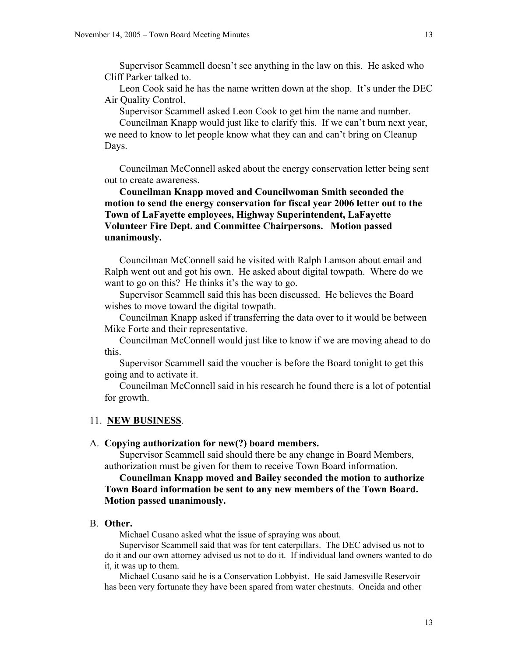Supervisor Scammell doesn't see anything in the law on this. He asked who Cliff Parker talked to.

Leon Cook said he has the name written down at the shop. It's under the DEC Air Quality Control.

Supervisor Scammell asked Leon Cook to get him the name and number.

Councilman Knapp would just like to clarify this. If we can't burn next year, we need to know to let people know what they can and can't bring on Cleanup Days.

Councilman McConnell asked about the energy conservation letter being sent out to create awareness.

**Councilman Knapp moved and Councilwoman Smith seconded the motion to send the energy conservation for fiscal year 2006 letter out to the Town of LaFayette employees, Highway Superintendent, LaFayette Volunteer Fire Dept. and Committee Chairpersons. Motion passed unanimously.** 

Councilman McConnell said he visited with Ralph Lamson about email and Ralph went out and got his own. He asked about digital towpath. Where do we want to go on this? He thinks it's the way to go.

Supervisor Scammell said this has been discussed. He believes the Board wishes to move toward the digital towpath.

Councilman Knapp asked if transferring the data over to it would be between Mike Forte and their representative.

Councilman McConnell would just like to know if we are moving ahead to do this.

Supervisor Scammell said the voucher is before the Board tonight to get this going and to activate it.

Councilman McConnell said in his research he found there is a lot of potential for growth.

### 11. **NEW BUSINESS**.

#### A. **Copying authorization for new(?) board members.**

Supervisor Scammell said should there be any change in Board Members, authorization must be given for them to receive Town Board information.

# **Councilman Knapp moved and Bailey seconded the motion to authorize Town Board information be sent to any new members of the Town Board. Motion passed unanimously.**

### B. **Other.**

Michael Cusano asked what the issue of spraying was about.

Supervisor Scammell said that was for tent caterpillars. The DEC advised us not to do it and our own attorney advised us not to do it. If individual land owners wanted to do it, it was up to them.

Michael Cusano said he is a Conservation Lobbyist. He said Jamesville Reservoir has been very fortunate they have been spared from water chestnuts. Oneida and other